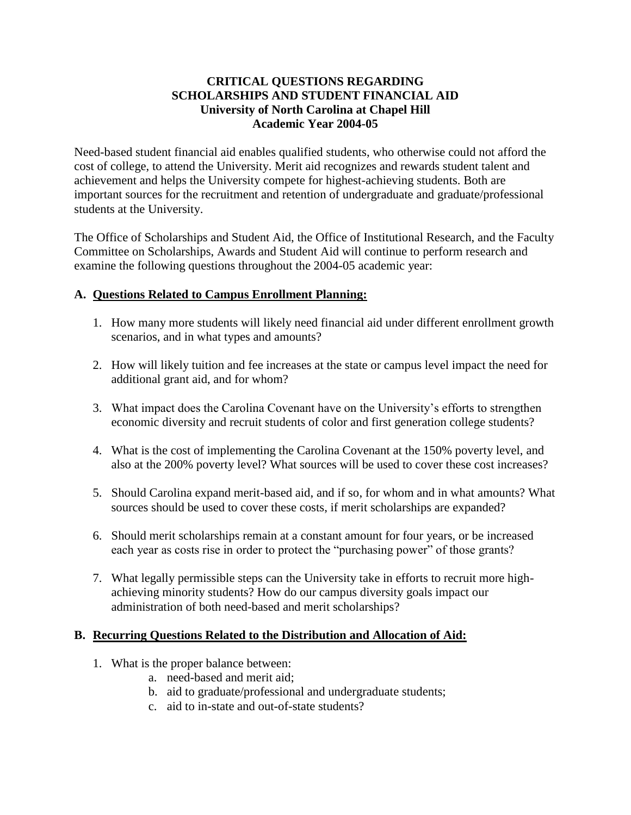## **CRITICAL QUESTIONS REGARDING SCHOLARSHIPS AND STUDENT FINANCIAL AID University of North Carolina at Chapel Hill Academic Year 2004-05**

Need-based student financial aid enables qualified students, who otherwise could not afford the cost of college, to attend the University. Merit aid recognizes and rewards student talent and achievement and helps the University compete for highest-achieving students. Both are important sources for the recruitment and retention of undergraduate and graduate/professional students at the University.

The Office of Scholarships and Student Aid, the Office of Institutional Research, and the Faculty Committee on Scholarships, Awards and Student Aid will continue to perform research and examine the following questions throughout the 2004-05 academic year:

## **A. Questions Related to Campus Enrollment Planning:**

- 1. How many more students will likely need financial aid under different enrollment growth scenarios, and in what types and amounts?
- 2. How will likely tuition and fee increases at the state or campus level impact the need for additional grant aid, and for whom?
- 3. What impact does the Carolina Covenant have on the University's efforts to strengthen economic diversity and recruit students of color and first generation college students?
- 4. What is the cost of implementing the Carolina Covenant at the 150% poverty level, and also at the 200% poverty level? What sources will be used to cover these cost increases?
- 5. Should Carolina expand merit-based aid, and if so, for whom and in what amounts? What sources should be used to cover these costs, if merit scholarships are expanded?
- 6. Should merit scholarships remain at a constant amount for four years, or be increased each year as costs rise in order to protect the "purchasing power" of those grants?
- 7. What legally permissible steps can the University take in efforts to recruit more highachieving minority students? How do our campus diversity goals impact our administration of both need-based and merit scholarships?

## **B. Recurring Questions Related to the Distribution and Allocation of Aid:**

- 1. What is the proper balance between:
	- a. need-based and merit aid;
	- b. aid to graduate/professional and undergraduate students;
	- c. aid to in-state and out-of-state students?